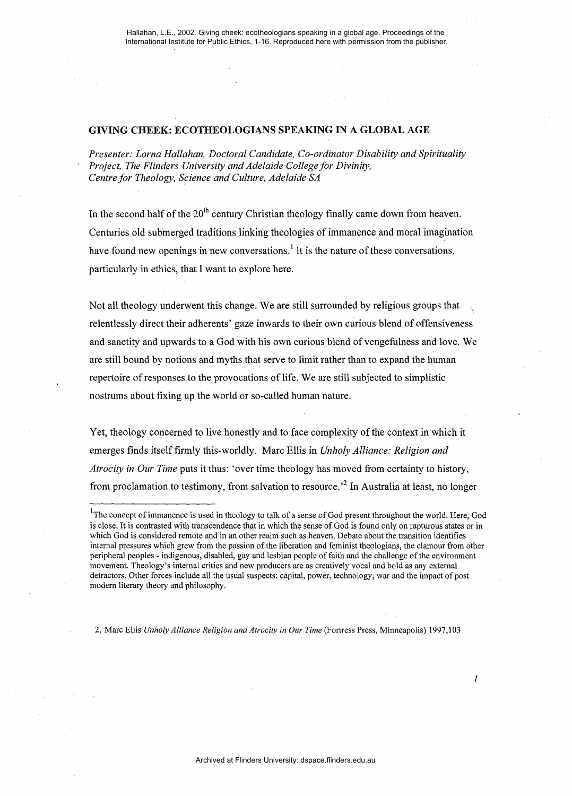### GIVING CHEEK: ECOTHEOLOGIANS SPEAKING IN A GLOBAL AGE

*Presenter: Lorna Hallahan, Doctoral Candidate, Co-ordinator Disability and Spirituality Project, The Flinders University and Adelaide College for Divinity, Centre for Theology, Science and Culture, Adelaide SA* 

In the second half of the  $20<sup>th</sup>$  century Christian theology finally came down from heaven. Centuries old submerged traditions linking theologies of immanence and moral imagination have found new openings in new conversations.<sup>1</sup> It is the nature of these conversations, particularly in ethics, that I want to explore here.

Not all theology underwent this change. We are still surrounded by religious groups that \ relentlessly direct their adherents' gaze inwards to their own curious blend of offensiveness and sanctity and upwards to a God with his own curious blend ofvengefulness and love. We are still bound by notions and myths that serve to limit rather than to expand the human repertoire of responses to the provocations of life. We are still subjected to simplistic nostrums about fixing up the world or so-called human nature.

Yet, theology concerned to live honestly and to face complexity of the context in which it emerges finds itself firmly this-worldly. Marc Ellis in *Unholy Alliance: Religion and Atrocity in Our Time* puts it thus: 'over time theology has moved from certainty to history, from proclamation to testimony, from salvation to resource.<sup>2</sup> In Australia at least, no longer

2. Marc Ellis *Unholy Alliance Religion and Atrocity* in *Our Time* (Fortress Press, Minneapolis) 1997,103

1

<sup>&</sup>lt;sup>1</sup>The concept of immanence is used in theology to talk of a sense of God present throughout the world. Here, God is close. It is contrasted with transcendence that in which the sense of God is found only on rapturous states or in which God is considered remote and in an other realm such as heaven. Debate about the transition identifies internal pressures which grew from the passion of the liberation and feminist theologians, the clamour from other peripheral peoples- indigenous, disabled, gay and lesbian people offaith and the challenge of the environment movement. Theology's internal critics and new producers are as creatively vocal and bold as any external detractors. Other forces include all the usual suspects: capital, power, technology, war and the impact of post modern literary theory and philosophy.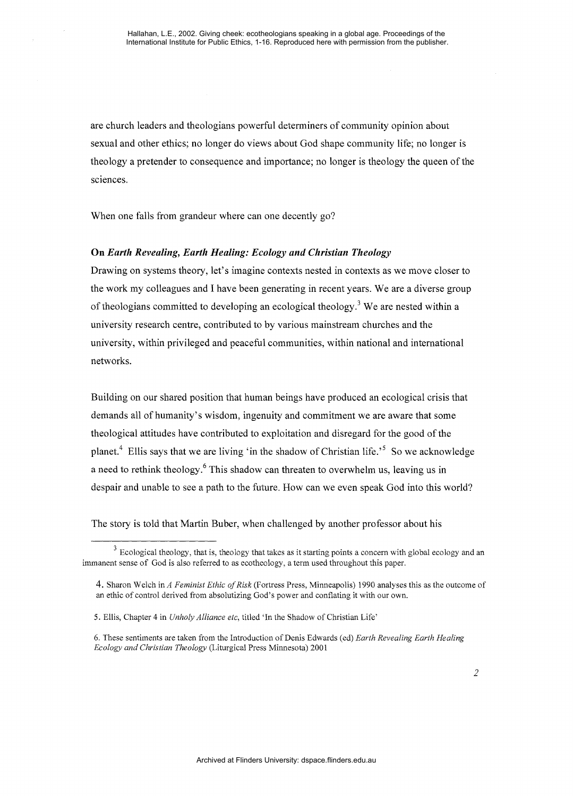are church leaders and theologians powerful determiners of community opinion about sexual and other ethics; no longer do views about God shape community life; no longer is theology a pretender to consequence and importance; no longer is theology the queen of the sciences.

When one falls from grandeur where can one decently go?

## On *Earth Revealing, Earth Healing: Ecology and Christian Theology*

Drawing on systems theory, let's imagine contexts nested in contexts as we move closer to the work my colleagues and I have been generating in recent years. We are a diverse group of theologians committed to developing an ecological theology.<sup>3</sup> We are nested within a university research centre, contributed to by various mainstream churches and the university, within privileged and peaceful communities, within national and international networks.

Building on our shared position that human beings have produced an ecological crisis that demands all of humanity's wisdom, ingenuity and commitment we are aware that some theological attitudes have contributed to exploitation and disregard for the good of the planet.<sup>4</sup> Ellis says that we are living 'in the shadow of Christian life.<sup>55</sup> So we acknowledge a need to rethink theology.<sup>6</sup> This shadow can threaten to overwhelm us, leaving us in despair and unable to see a path to the future. How can we even speak God into this world?

The story is told that Martin Buber, when challenged by another professor about his

<sup>&</sup>lt;sup>3</sup> Ecological theology, that is, theology that takes as it starting points a concern with global ecology and an immanent sense of God is also referred to as ecotheology, a term used throughout this paper.

<sup>4.</sup> Sharon Welch inA *Feminist Ethic of Risk* (Fortress Press, Minneapolis) 1990 analyses this as the outcome of an ethic of control derived from absolutizing God's power and conflating it with our own.

<sup>5.</sup> Ellis, Chapter 4 in *Unholy Alliance etc,* titled 'In the Shadow of Christian Life'

<sup>6.</sup> These sentiments are taken from the Introduction of Denis Edwards (ed) *Earth Revealing Earth Healing Ecology and Christian Theology* (Liturgical Press Minnesota) 2001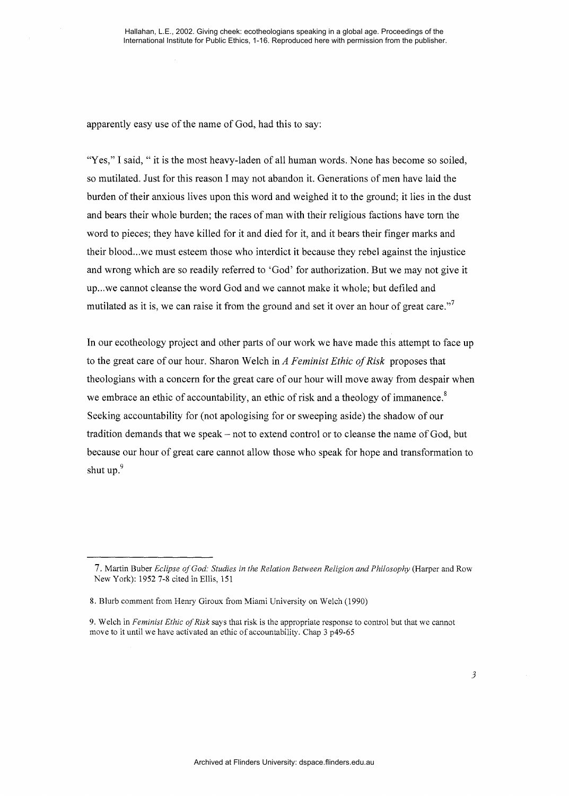apparently easy use of the name of God, had this to say:

"Yes," I said, " it is the most heavy-laden of all human words. None has become so soiled, so mutilated. Just for this reason I may not abandon it. Generations of men have laid the burden of their anxious lives upon this word and weighed it to the ground; it lies in the dust and bears their whole burden; the races of man with their religious factions have torn the word to pieces; they have killed for it and died for it, and it bears their finger marks and their blood ... we must esteem those who interdict it because they rebel against the injustice and wrong which are so readily referred to 'God' for authorization. But we may not give it up... we cannot cleanse the word God and we cannot make it whole; but defiled and mutilated as it is, we can raise it from the ground and set it over an hour of great care."<sup>7</sup>

In our ecotheology project and other parts of our work we have made this attempt to face up to the great care of our hour. Sharon Welch in *A Feminist Ethic of Risk* proposes that theologians with a concern for the great care of our hour will move away from despair when we embrace an ethic of accountability, an ethic of risk and a theology of immanence.<sup>8</sup> Seeking accountability for (not apologising for or sweeping aside) the shadow of our tradition demands that we speak- not to extend control or to cleanse the name of God, but because our hour of great care cannot allow those who speak for hope and transformation to shut up.<sup>9</sup>

<sup>7.</sup> Martin Buber *Eclipse of God: Studies in the Relation Between Religion and Philosophy* (Harper and Row New York): 1952 7-8 cited in Ellis, 151

<sup>8.</sup> Blurb comment from Henry Giroux from Miami University on Welch (1990)

<sup>9.</sup> Welch in *Feminist Ethic of Risk* says that risk is the appropriate response to control but that we cannot move to it until we have activated an ethic of accountability. Chap 3 p49-65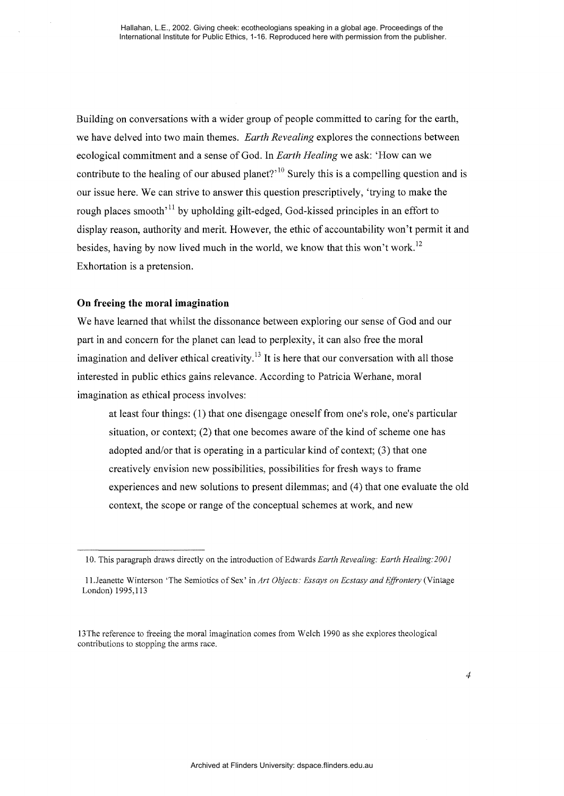Building on conversations with a wider group of people committed to caring for the earth, we have delved into two main themes. *Earth Revealing* explores the connections between ecological commitment and a sense of God. In *Earth Healing* we ask: 'How can we contribute to the healing of our abused planet?<sup> $10$ </sup> Surely this is a compelling question and is our issue here. We can strive to answer this question prescriptively, 'trying to make the rough places smooth<sup> $11$ </sup> by upholding gilt-edged, God-kissed principles in an effort to display reason, authority and merit. However, the ethic of accountability won't permit it and besides, having by now lived much in the world, we know that this won't work.<sup>12</sup> Exhortation is a pretension.

# **On freeing the moral imagination**

We have learned that whilst the dissonance between exploring our sense of God and our part in and concern for the planet can lead to perplexity, it can also free the moral imagination and deliver ethical creativity.<sup>13</sup> It is here that our conversation with all those interested in public ethics gains relevance. According to Patricia Werhane, moral imagination as ethical process involves:

at least four things: (1) that one disengage oneself from one's role, one's particular situation, or context; (2) that one becomes aware of the kind of scheme one has adopted and/or that is operating in a particular kind of context; (3) that one creatively envision new possibilities, possibilities for fresh ways to frame experiences and new solutions to present dilemmas; and ( 4) that one evaluate the old context, the scope or range of the conceptual schemes at work, and new

<sup>10.</sup> This paragraph draws directly on the introduction of Edwards *Earth Revealing: Earth Healing:2001* 

<sup>1</sup>l.Jeanette Winterson 'The Semiotics of Sex' in *Art Objects: Essays on Ecstasy and Effrontery* (Vintage London) 1995,113

<sup>13</sup>The reference to freeing the moral imagination comes from Welch 1990 as she explores theological contributions to stopping the arms race.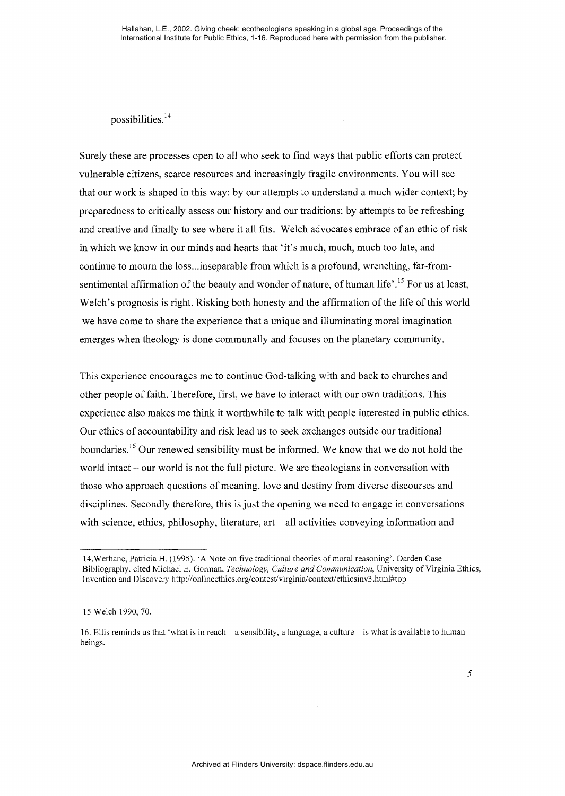possibilities. <sup>14</sup>

Surely these are processes open to all who seek to find ways that public efforts can protect vulnerable citizens, scarce resources and increasingly fragile environments. You will see that our work is shaped in this way: by our attempts to understand a much wider context; by preparedness to critically assess our history and our traditions; by attempts to be refreshing and creative and finally to see where it all fits. Welch advocates embrace of an ethic of risk in which we know in our minds and hearts that 'it's much, much, much too late, and continue to mourn the loss...inseparable from which is a profound, wrenching, far-fromsentimental affirmation of the beauty and wonder of nature, of human life'.<sup>15</sup> For us at least, Welch's prognosis is right. Risking both honesty and the affirmation of the life of this world we have come to share the experience that a unique and illuminating moral imagination emerges when theology is done communally and focuses on the planetary community.

This experience encourages me to continue God-talking with and back to churches and other people of faith. Therefore, first, we have to interact with our own traditions. This experience also makes me think it worthwhile to talk with people interested in public ethics. Our ethics of accountability and risk lead us to seek exchanges outside our traditional boundaries.<sup>16</sup> Our renewed sensibility must be informed. We know that we do not hold the world intact – our world is not the full picture. We are theologians in conversation with those who approach questions of meaning, love and destiny from diverse discourses and disciplines. Secondly therefore, this is just the opening we need to engage in conversations with science, ethics, philosophy, literature, art – all activities conveying information and

<sup>14.</sup>Werhane, Patricia H. (1995). 'A Note on five traditional theories of moral reasoning'. Darden Case Bibliography. cited Michael E. Gorman, *Technology, Culture and Communication,* University of Virginia Ethics, Invention and Discovery http://onlineethics.org/contest/virginia/context/ethicsinv3.html#top

<sup>15</sup> Welch 1990,70.

<sup>16.</sup> Ellis reminds us that 'what is in reach- a sensibility, a language, a culture- is what is available to human beings.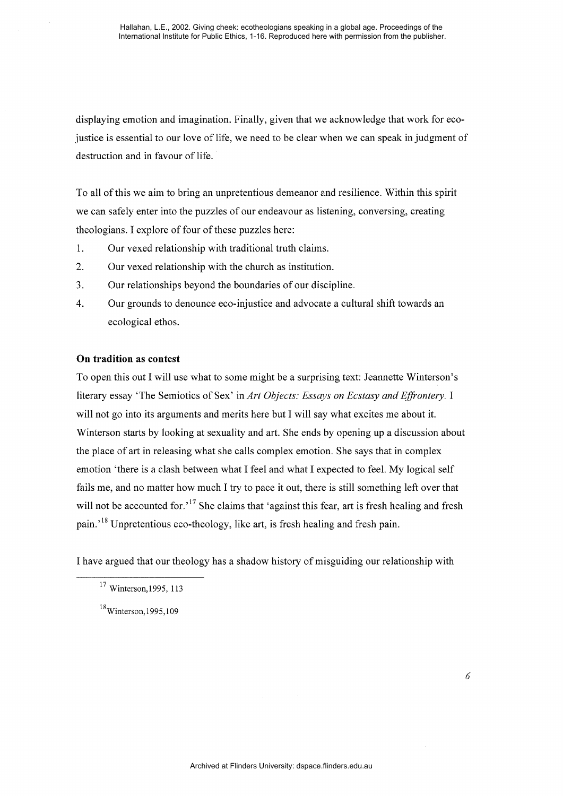displaying emotion and imagination. Finally, given that we acknowledge that work for ecojustice is essential to our love of life, we need to be clear when we can speak in judgment of destruction and in favour of life.

To all of this we aim to bring an unpretentious demeanor and resilience. Within this spirit we can safely enter into the puzzles of our endeavour as listening, conversing, creating theologians. I explore of four of these puzzles here:

- 1. Our vexed relationship with traditional truth claims.
- 2. Our vexed relationship with the church as institution.
- 3. Our relationships beyond the boundaries of our discipline.
- 4. Our grounds to denounce eco-injustice and advocate a cultural shift towards an ecological ethos.

# **On tradition as contest**

To open this out I will use what to some might be a surprising text: Jeannette Winterson's literary essay 'The Semiotics of Sex' in *Art Objects: Essays on Ecstasy and Effrontery.* I will not go into its arguments and merits here but I will say what excites me about it. Winterson starts by looking at sexuality and art. She ends by opening up a discussion about the place of art in releasing what she calls complex emotion. She says that in complex emotion 'there is a clash between what I feel and what I expected to feel. My logical self fails me, and no matter how much I try to pace it out, there is still something left over that will not be accounted for.<sup>17</sup> She claims that 'against this fear, art is fresh healing and fresh pain.<sup>18</sup> Unpretentious eco-theology, like art, is fresh healing and fresh pain.

I have argued that our theology has a shadow history of misguiding our relationship with

<sup>17</sup> Winterson,1995, 113

<sup>&</sup>lt;sup>18</sup>Winterson, 1995, 109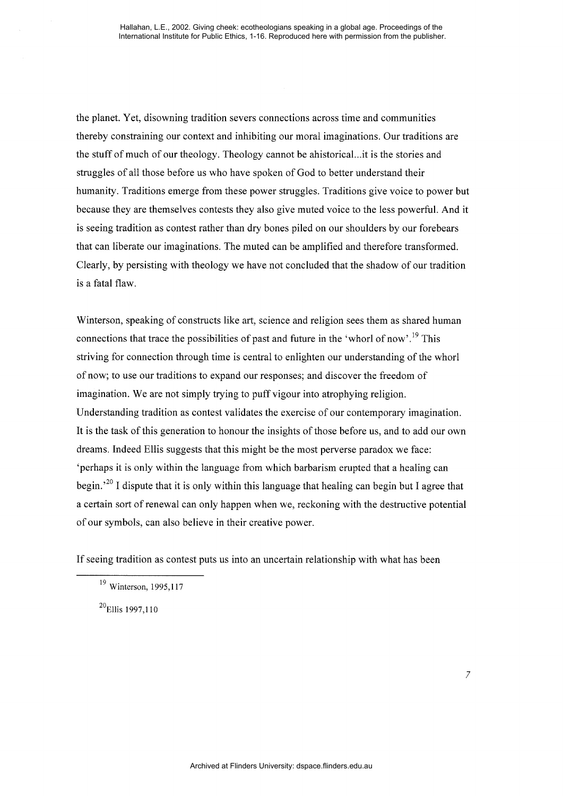the planet. Yet, disowning tradition severs connections across time and communities thereby constraining our context and inhibiting our moral imaginations. Our traditions are the stuff of much of our theology. Theology cannot be ahistorical...it is the stories and struggles of all those before us who have spoken of God to better understand their humanity. Traditions emerge from these power struggles. Traditions give voice to power but because they are themselves contests they also give muted voice to the less powerful. And it is seeing tradition as contest rather than dry bones piled on our shoulders by our forebears that can liberate our imaginations. The muted can be amplified and therefore transformed. Clearly, by persisting with theology we have not concluded that the shadow of our tradition is a fatal flaw.

Winterson, speaking of constructs like art, science and religion sees them as shared human connections that trace the possibilities of past and future in the 'whorl of now'.<sup>19</sup> This striving for connection through time is central to enlighten our understanding of the whorl of now; to use our traditions to expand our responses; and discover the freedom of imagination. We are not simply trying to puff vigour into atrophying religion. Understanding tradition as contest validates the exercise of our contemporary imagination. It is the task of this generation to honour the insights of those before us, and to add our own dreams. Indeed Ellis suggests that this might be the most perverse paradox we face: 'perhaps it is only within the language from which barbarism erupted that a healing can begin.<sup>20</sup> I dispute that it is only within this language that healing can begin but I agree that a certain sort of renewal can only happen when we, reckoning with the destructive potential of our symbols, can also believe in their creative power.

If seeing tradition as contest puts us into an uncertain relationship with what has been

<sup>20</sup>Ellis 1997,110

<sup>19</sup> Winterson, 1995,117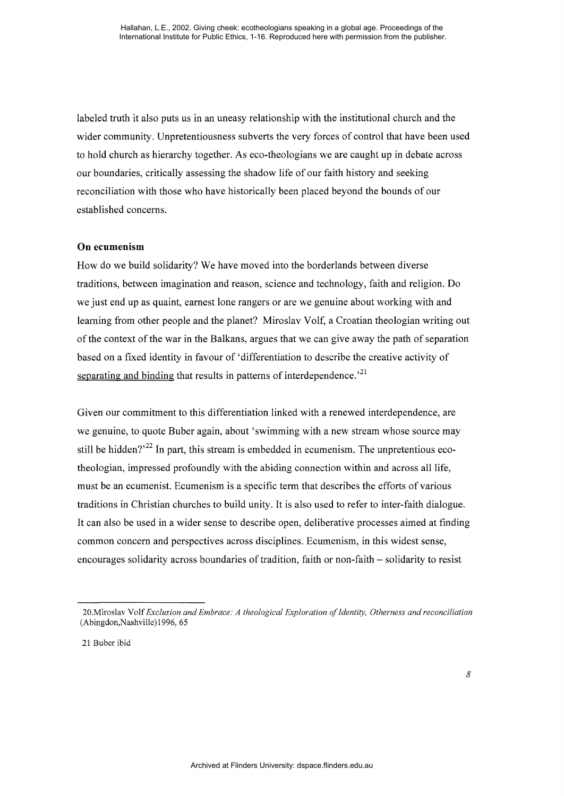labeled truth it also puts us in an uneasy relationship with the institutional church and the wider community. Unpretentiousness subverts the very forces of control that have been used to hold church as hierarchy together. As ceo-theologians we are caught up in debate across our boundaries, critically assessing the shadow life of our faith history and seeking reconciliation with those who have historically been placed beyond the bounds of our established concerns.

#### **On ecumenism**

How do we build solidarity? We have moved into the borderlands between diverse traditions, between imagination and reason, science and technology, faith and religion. Do we just end up as quaint, earnest lone rangers or are we genuine about working with and learning from other people and the planet? Miroslav Volf, a Croatian theologian writing out of the context of the war in the Balkans, argues that we can give away the path of separation based on a fixed identity in favour of 'differentiation to describe the creative activity of separating and binding that results in patterns of interdependence.<sup>21</sup>

Given our commitment to this differentiation linked with a renewed interdependence, are we genuine, to quote Buber again, about 'swimming with a new stream whose source may still be hidden?<sup> $22$ </sup> In part, this stream is embedded in ecumenism. The unpretentious ecotheologian, impressed profoundly with the abiding connection within and across all life, must be an ecumenist. Ecumenism is a specific term that describes the efforts of various traditions in Christian churches to build unity. It is also used to refer to inter-faith dialogue. It can also be used in a wider sense to describe open, deliberative processes aimed at finding common concern and perspectives across disciplines. Ecumenism, in this widest sense, encourages solidarity across boundaries of tradition, faith or non-faith- solidarity to resist

<sup>20.</sup>Miroslav Volf *Exclusion and Embrace: A theological Exploration of Identity, Otherness and reconciliation*  (Abingdon,Nashville)1996, 65

<sup>21</sup> Buber ibid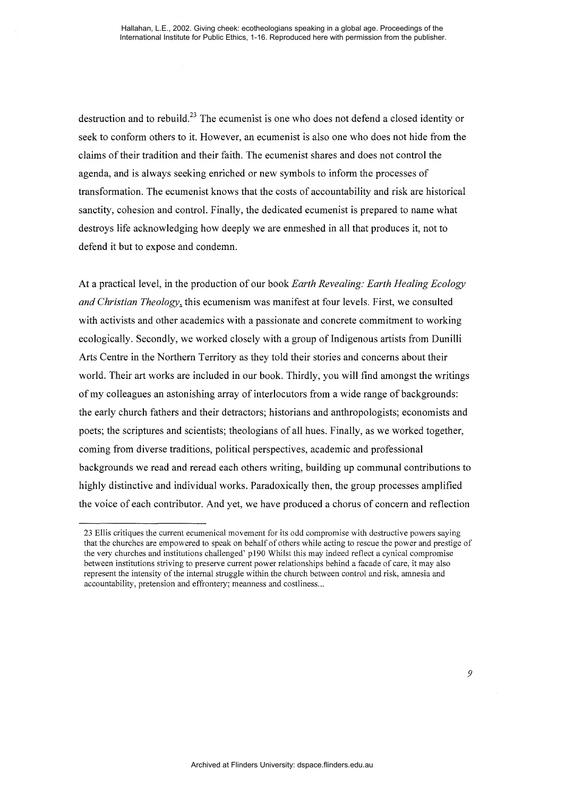destruction and to rebuild.<sup>23</sup> The ecumenist is one who does not defend a closed identity or seek to conform others to it. However, an ecumenist is also one who does not hide from the claims of their tradition and their faith. The ecumenist shares and does not control the agenda, and is always seeking enriched or new symbols to inform the processes of transformation. The ecumenist knows that the costs of accountability and risk are historical sanctity, cohesion and control. Finally, the dedicated ecumenist is prepared to name what destroys life acknowledging how deeply we are enmeshed in all that produces it, not to defend it but to expose and condemn.

At a practical level, in the production of our book *Earth Revealing: Earth Healing Ecology and Christian Theology*, this ecumenism was manifest at four levels. First, we consulted with activists and other academics with a passionate and concrete commitment to working ecologically. Secondly, we worked closely with a group of Indigenous artists from Dunilli Arts Centre in the Northern Territory as they told their stories and concerns about their world. Their art works are included in our book. Thirdly, you will find amongst the writings of my colleagues an astonishing array of interlocutors from a wide range of backgrounds: the early church fathers and their detractors; historians and anthropologists; economists and poets; the scriptures and scientists; theologians of all hues. Finally, as we worked together, coming from diverse traditions, political perspectives, academic and professional backgrounds we read and reread each others writing, building up communal contributions to highly distinctive and individual works. Paradoxically then, the group processes amplified the voice of each contributor. And yet, we have produced a chorus of concern and reflection

<sup>23</sup> Ellis critiques the current ecumenical movement for its odd compromise with destructive powers saying that the churches are empowered to speak on behalf of others while acting to rescue the power and prestige of the very churches and institutions challenged' pl90 Whilst this may indeed reflect a cynical compromise between institutions striving to preserve current power relationships behind a facade of care, it may also represent the intensity of the internal struggle within the church between control and risk, amnesia and accountability, pretension and effrontery; meanness and costliness...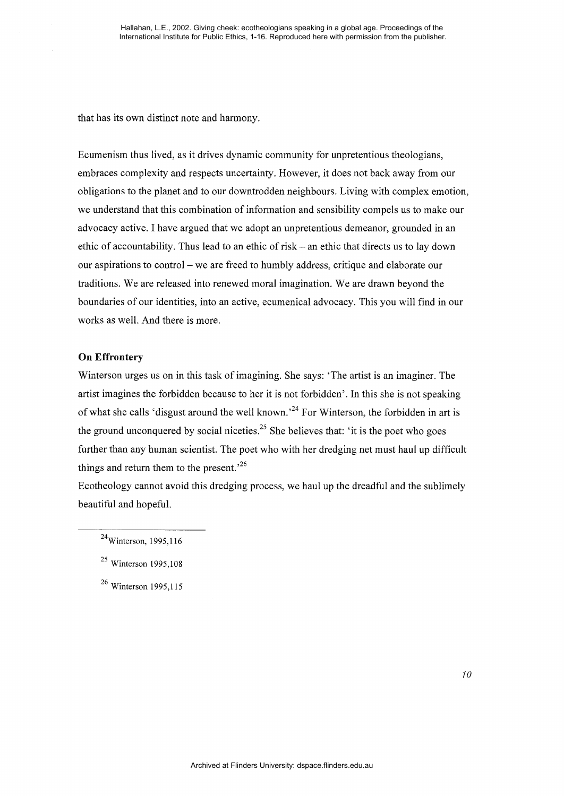that has its own distinct note and harmony.

Ecumenism thus lived, as it drives dynamic community for unpretentious theologians, embraces complexity and respects uncertainty. However, it does not back away from our obligations to the planet and to our downtrodden neighbours. Living with complex emotion, we understand that this combination of information and sensibility compels us to make our advocacy active. I have argued that we adopt an unpretentious demeanor, grounded in an ethic of accountability. Thus lead to an ethic of risk- an ethic that directs us to lay down our aspirations to control- we are freed to humbly address, critique and elaborate our traditions. We are released into renewed moral imagination. We are drawn beyond the boundaries of our identities, into an active, ecumenical advocacy. This you will find in our works as well. And there is more.

## **On Effrontery**

Winterson urges us on in this task of imagining. She says: 'The artist is an imaginer. The artist imagines the forbidden because to her it is not forbidden'. In this she is not speaking of what she calls 'disgust around the well known.<sup>24</sup> For Winterson, the forbidden in art is the ground unconquered by social niceties.<sup>25</sup> She believes that: 'it is the poet who goes further than any human scientist. The poet who with her dredging net must haul up difficult things and return them to the present.<sup>26</sup>

Ecotheology cannot avoid this dredging process, we haul up the dreadful and the sublimely beautiful and hopeful.

<sup>&</sup>lt;sup>24</sup>Winterson, 1995, 116

<sup>25</sup> Winterson 1995,108

<sup>26</sup> Winterson 1995,115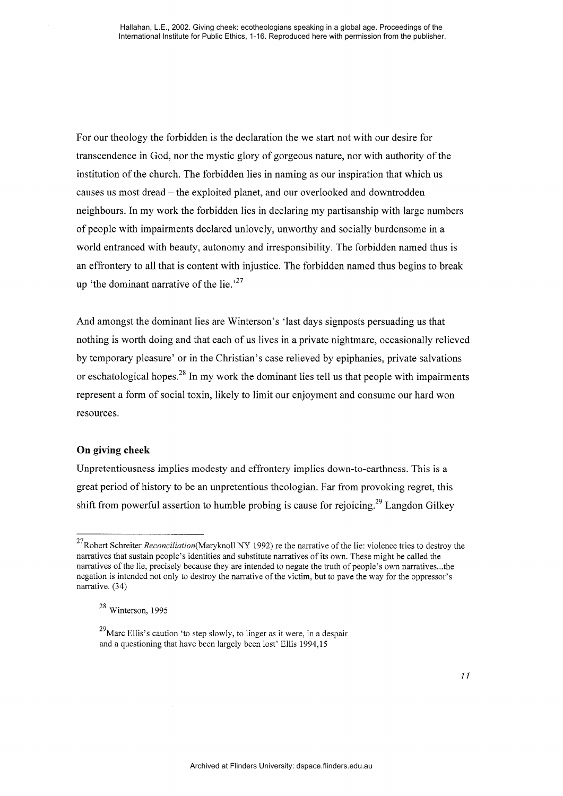For our theology the forbidden is the declaration the we start not with our desire for transcendence in God, nor the mystic glory of gorgeous nature, nor with authority of the institution of the church. The forbidden lies in naming as our inspiration that which us causes us most dread- the exploited planet, and our overlooked and downtrodden neighbours. In my work the forbidden lies in declaring my partisanship with large numbers of people with impairments declared unlovely, unworthy and socially burdensome in a world entranced with beauty, autonomy and irresponsibility. The forbidden named thus is an effrontery to all that is content with injustice. The forbidden named thus begins to break up 'the dominant narrative of the lie.<sup>27</sup>

And amongst the dominant lies are Winterson's 'last days signposts persuading us that nothing is worth doing and that each of us lives in a private nightmare, occasionally relieved by temporary pleasure' or in the Christian's case relieved by epiphanies, private salvations or eschatological hopes.<sup>28</sup> In my work the dominant lies tell us that people with impairments represent a form of social toxin, likely to limit our enjoyment and consume our hard won resources.

# **On giving cheek**

Unpretentiousness implies modesty and effrontery implies down-to-earthness. This is a great period of history to be an unpretentious theologian. Far from provoking regret, this shift from powerful assertion to humble probing is cause for rejoicing.<sup>29</sup> Langdon Gilkey

<sup>27</sup>Robert Schreiter *Reconciliation(Maryknoll* NY 1992) re the narrative of the lie: violence tries to destroy the narratives that sustain people's identities and substitute narratives of its own. These might be called the narratives of the lie, precisely because they are intended to negate the truth of people's own narratives ... the negation is intended not only to destroy the narrative of the victim, but to pave the way for the oppressor's narrative. (34)

<sup>28</sup> Winterson, 1995

 $^{29}$ Marc Ellis's caution 'to step slowly, to linger as it were, in a despair and a questioning that have been largely been lost' Ellis 1994,15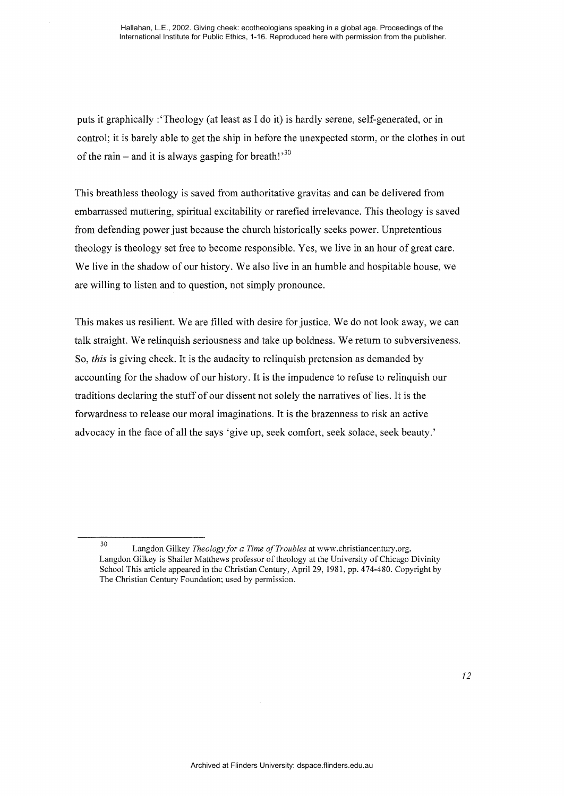puts it graphically :'Theology (at least as I do it) is hardly serene, self-generated, or in control; it is barely able to get the ship in before the unexpected storm, or the clothes in out of the rain – and it is always gasping for breath!<sup>30</sup>

This breathless theology is saved from authoritative gravitas and can be delivered from embarrassed muttering, spiritual excitability or rarefied irrelevance. This theology is saved from defending power just because the church historically seeks power. Unpretentious theology is theology set free to become responsible. Yes, we live in an hour of great care. We live in the shadow of our history. We also live in an humble and hospitable house, we are willing to listen and to question, not simply pronounce.

This makes us resilient. We are filled with desire for justice. We do not look away, we can talk straight. We relinquish seriousness and take up boldness. We return to subversiveness. So, *this* is giving cheek. It is the audacity to relinquish pretension as demanded by accounting for the shadow of our history. It is the impudence to refuse to relinquish our traditions declaring the stuff of our dissent not solely the narratives of lies. It is the forwardness to release our moral imaginations. It is the brazenness to risk an active advocacy in the face of all the says 'give up, seek comfort, seek solace, seek beauty.'

<sup>30</sup> Langdon Gilkey *Theology for a Time of Troubles* at www.christiancentury.org. Langdon Gilkey is Shailer Matthews professor of theology at the University of Chicago Divinity School This article appeared in the Christian Century, April29, 1981, pp. 474-480. Copyright by The Christian Century Foundation; used by permission.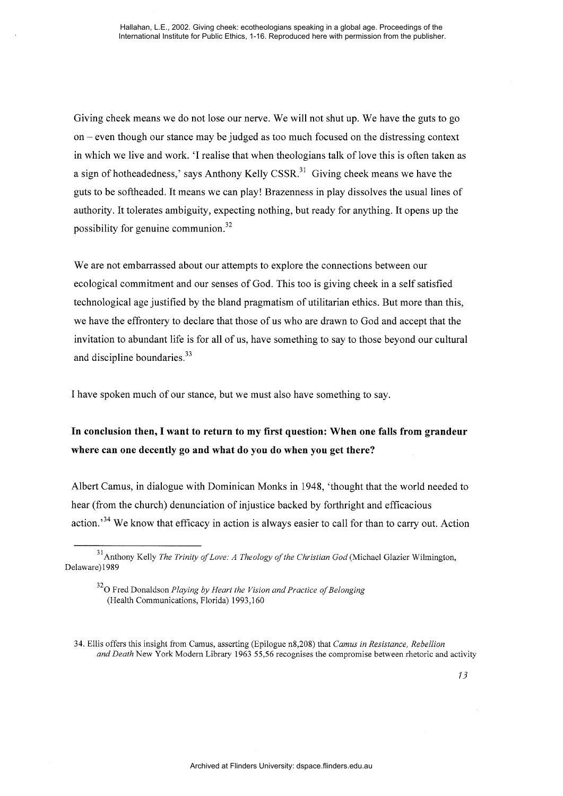Giving cheek means we do not lose our nerve. We will not shut up. We have the guts to go on - even though our stance may be judged as too much focused on the distressing context in which we live and work. 'I realise that when theologians talk of love this is often taken as a sign of hotheadedness,' says Anthony Kelly  $CSSR<sup>31</sup>$  Giving cheek means we have the guts to be softheaded. It means we can play! Brazenness in play dissolves the usual lines of authority. It tolerates ambiguity, expecting nothing, but ready for anything. It opens up the possibility for genuine communion. $32$ 

We are not embarrassed about our attempts to explore the connections between our ecological commitment and our senses of God. This too is giving cheek in a self satisfied technological age justified by the bland pragmatism of utilitarian ethics. But more than this, we have the effrontery to declare that those of us who are drawn to God and accept that the invitation to abundant life is for all of us, have something to say to those beyond our cultural and discipline boundaries.<sup>33</sup>

I have spoken much of our stance, but we must also have something to say.

# In conclusion then, I want to return to my first question: When one falls from grandeur where can one decently go and what do you do when you get there?

Albert Camus, in dialogue with Dominican Monks in 1948, 'thought that the world needed to hear (from the church) denunciation of injustice backed by forthright and efficacious action.<sup>34</sup> We know that efficacy in action is always easier to call for than to carry out. Action

<sup>31</sup> Anthony Kelly *The Trinity of Love: A Theology of the Christian God* (Michael Glazier Wilmington, Delaware) 1989

<sup>32</sup>0 Fred Donaldson *Playing by Heart the Vision and Practice of Belonging*  (Health Communications, Florida) 1993,160

<sup>34.</sup> Ellis offers this insight from Camus, asserting (Epilogue n8,208) that *Camus in Resistance, Rebellion and Death* New York Modern Library 1963 55,56 recognises the compromise between rhetoric and activity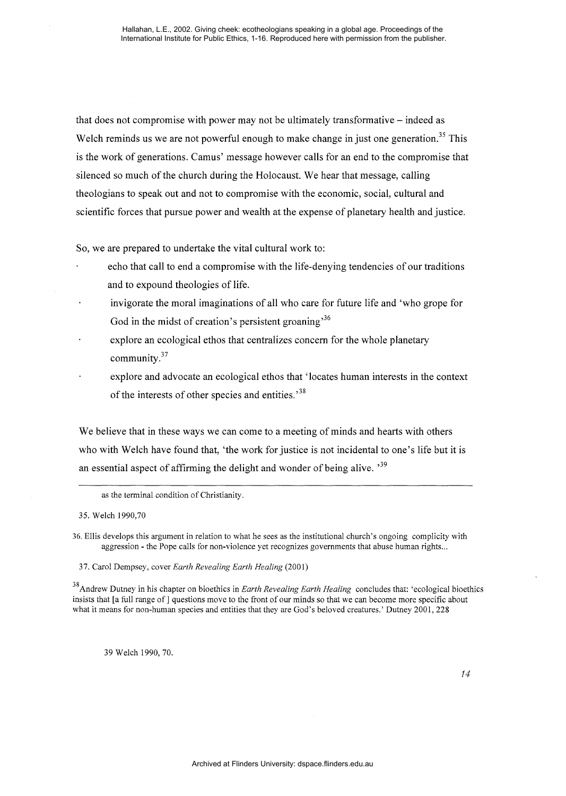that does not compromise with power may not be ultimately transformative – indeed as Welch reminds us we are not powerful enough to make change in just one generation.<sup>35</sup> This is the work of generations. Camus' message however calls for an end to the compromise that silenced so much of the church during the Holocaust. We hear that message, calling theologians to speak out and not to compromise with the economic, social, cultural and scientific forces that pursue power and wealth at the expense of planetary health and justice.

So, we are prepared to undertake the vital cultural work to:

- echo that call to end a compromise with the life-denying tendencies of our traditions and to expound theologies of life.
- invigorate the moral imaginations of all who care for future life and 'who grope for God in the midst of creation's persistent groaning<sup>36</sup>
- explore an ecological ethos that centralizes concern for the whole planetary community. $37$
- explore and advocate an ecological ethos that 'locates human interests in the context of the interests of other species and entities.<sup>38</sup>

We believe that in these ways we can come to a meeting of minds and hearts with others who with Welch have found that, 'the work for justice is not incidental to one's life but it is an essential aspect of affirming the delight and wonder of being alive.  $^{39}$ 

as the terminal condition of Christianity.

35. Welch 1990,70

- 36. Ellis develops this argument in relation to what he sees as the institutional church's ongoing complicity with aggression - the Pope calls for non-violence yet recognizes governments that abuse human rights ...
	- 37. Carol Dempsey, cover *Earth Revealing Earth Healing* (2001)

38 Andrew Dutney in his chapter on bioethics in *Earth Revealing Earth Healing* concludes that: 'ecological bioethics insists that [a full range of] questions move to the front of our minds so that we can become more specific about what it means for non-human species and entities that they are God's beloved creatures.' Dutney 2001, 228

39 Welch 1990,70.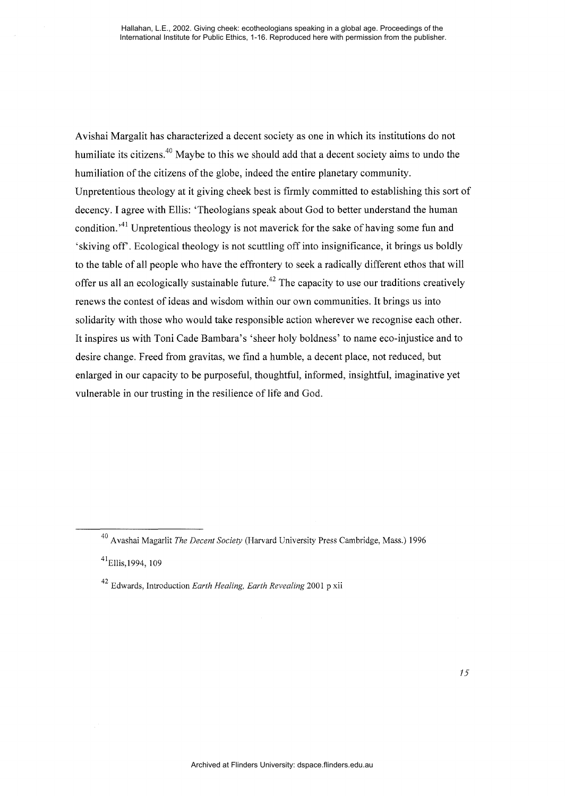Avishai Margalit has characterized a decent society as one in which its institutions do not humiliate its citizens.<sup>40</sup> Maybe to this we should add that a decent society aims to undo the humiliation of the citizens of the globe, indeed the entire planetary community. Unpretentious theology at it giving cheek best is firmly committed to establishing this sort of decency. I agree with Ellis: 'Theologians speak about God to better understand the human condition.<sup>41</sup> Unpretentious theology is not maverick for the sake of having some fun and 'skiving off'. Ecological theology is not scuttling off into insignificance, it brings us boldly to the table of all people who have the effrontery to seek a radically different ethos that will offer us all an ecologically sustainable future.<sup> $42$ </sup> The capacity to use our traditions creatively renews the contest of ideas and wisdom within our own communities. It brings us into solidarity with those who would take responsible action wherever we recognise each other. It inspires us with Toni Cade Bambara's 'sheer holy boldness' to name eco-injustice and to desire change. Freed from gravitas, we find a humble, a decent place, not reduced, but enlarged in our capacity to be purposeful, thoughtful, informed, insightful, imaginative yet vulnerable in our trusting in the resilience of life and God.

<sup>40</sup> Avashai Magarlit *The Decent Society* (Harvard University Press Cambridge, Mass.) 1996

 $41$ Ellis, 1994, 109

<sup>42</sup> Edwards, Introduction *Earth Healing, Earth Revealing* 2001 p xii